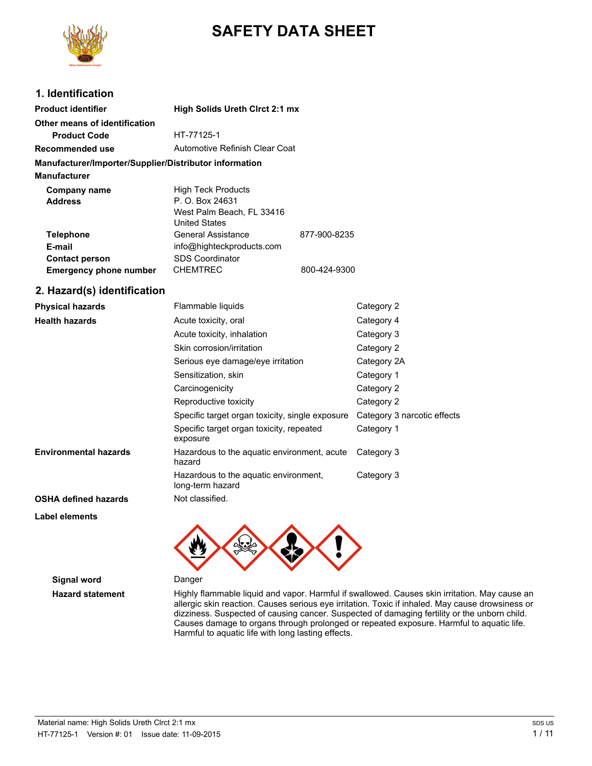

# **SAFETY DATA SHEET**

### **1. Identification**

| <b>Product identifier</b><br>High Solids Ureth Circt 2:1 mx |                                |              |  |
|-------------------------------------------------------------|--------------------------------|--------------|--|
| Other means of identification                               |                                |              |  |
| <b>Product Code</b>                                         | HT-77125-1                     |              |  |
| Recommended use                                             | Automotive Refinish Clear Coat |              |  |
| Manufacturer/Importer/Supplier/Distributor information      |                                |              |  |
| <b>Manufacturer</b>                                         |                                |              |  |
| <b>High Teck Products</b><br>Company name                   |                                |              |  |
| P. O. Box 24631<br><b>Address</b>                           |                                |              |  |
|                                                             | West Palm Beach, FL 33416      |              |  |
|                                                             | <b>United States</b>           |              |  |
| <b>Telephone</b>                                            | General Assistance             | 877-900-8235 |  |
| E-mail                                                      | info@highteckproducts.com      |              |  |
| <b>Contact person</b>                                       | <b>SDS Coordinator</b>         |              |  |
| <b>Emergency phone number</b>                               | <b>CHEMTREC</b>                | 800-424-9300 |  |

### **2. Hazard(s) identification**

| <b>Physical hazards</b>      | Flammable liquids                                         | Category 2                  |
|------------------------------|-----------------------------------------------------------|-----------------------------|
| <b>Health hazards</b>        | Acute toxicity, oral                                      | Category 4                  |
|                              | Acute toxicity, inhalation                                | Category 3                  |
|                              | Skin corrosion/irritation                                 | Category 2                  |
|                              | Serious eye damage/eye irritation                         | Category 2A                 |
|                              | Sensitization, skin                                       | Category 1                  |
|                              | Carcinogenicity                                           | Category 2                  |
|                              | Reproductive toxicity                                     | Category 2                  |
|                              | Specific target organ toxicity, single exposure           | Category 3 narcotic effects |
|                              | Specific target organ toxicity, repeated<br>exposure      | Category 1                  |
| <b>Environmental hazards</b> | Hazardous to the aquatic environment, acute<br>hazard     | Category 3                  |
|                              | Hazardous to the aquatic environment,<br>long-term hazard | Category 3                  |
| <b>OSHA defined hazards</b>  | Not classified.                                           |                             |

**Label elements**



**Signal word** Danger

**Hazard statement** Highly flammable liquid and vapor. Harmful if swallowed. Causes skin irritation. May cause an allergic skin reaction. Causes serious eye irritation. Toxic if inhaled. May cause drowsiness or dizziness. Suspected of causing cancer. Suspected of damaging fertility or the unborn child. Causes damage to organs through prolonged or repeated exposure. Harmful to aquatic life. Harmful to aquatic life with long lasting effects.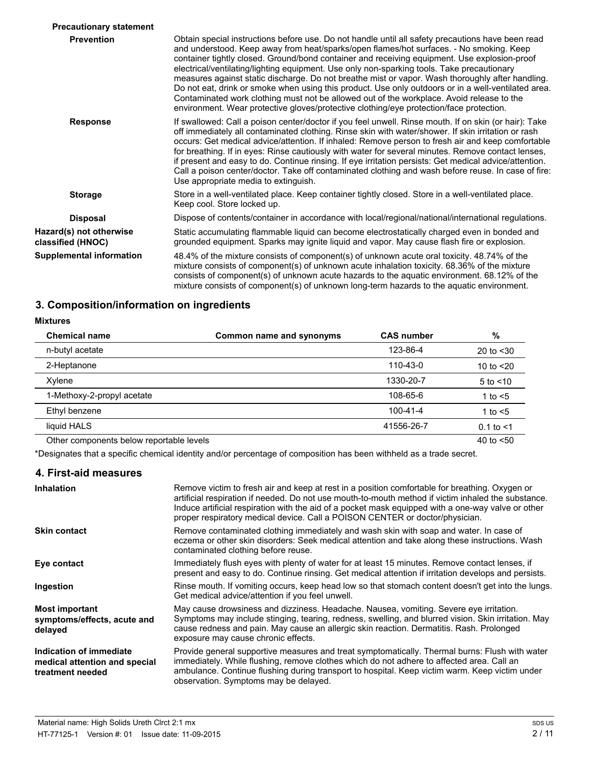| <b>Precautionary statement</b>               |                                                                                                                                                                                                                                                                                                                                                                                                                                                                                                                                                                                                                                                                                                                                                                                               |
|----------------------------------------------|-----------------------------------------------------------------------------------------------------------------------------------------------------------------------------------------------------------------------------------------------------------------------------------------------------------------------------------------------------------------------------------------------------------------------------------------------------------------------------------------------------------------------------------------------------------------------------------------------------------------------------------------------------------------------------------------------------------------------------------------------------------------------------------------------|
| <b>Prevention</b>                            | Obtain special instructions before use. Do not handle until all safety precautions have been read<br>and understood. Keep away from heat/sparks/open flames/hot surfaces. - No smoking. Keep<br>container tightly closed. Ground/bond container and receiving equipment. Use explosion-proof<br>electrical/ventilating/lighting equipment. Use only non-sparking tools. Take precautionary<br>measures against static discharge. Do not breathe mist or vapor. Wash thoroughly after handling.<br>Do not eat, drink or smoke when using this product. Use only outdoors or in a well-ventilated area.<br>Contaminated work clothing must not be allowed out of the workplace. Avoid release to the<br>environment. Wear protective gloves/protective clothing/eye protection/face protection. |
| <b>Response</b>                              | If swallowed: Call a poison center/doctor if you feel unwell. Rinse mouth. If on skin (or hair): Take<br>off immediately all contaminated clothing. Rinse skin with water/shower. If skin irritation or rash<br>occurs: Get medical advice/attention. If inhaled: Remove person to fresh air and keep comfortable<br>for breathing. If in eyes: Rinse cautiously with water for several minutes. Remove contact lenses,<br>if present and easy to do. Continue rinsing. If eye irritation persists: Get medical advice/attention.<br>Call a poison center/doctor. Take off contaminated clothing and wash before reuse. In case of fire:<br>Use appropriate media to extinguish.                                                                                                              |
| <b>Storage</b>                               | Store in a well-ventilated place. Keep container tightly closed. Store in a well-ventilated place.<br>Keep cool. Store locked up.                                                                                                                                                                                                                                                                                                                                                                                                                                                                                                                                                                                                                                                             |
| <b>Disposal</b>                              | Dispose of contents/container in accordance with local/regional/national/international regulations.                                                                                                                                                                                                                                                                                                                                                                                                                                                                                                                                                                                                                                                                                           |
| Hazard(s) not otherwise<br>classified (HNOC) | Static accumulating flammable liquid can become electrostatically charged even in bonded and<br>grounded equipment. Sparks may ignite liquid and vapor. May cause flash fire or explosion.                                                                                                                                                                                                                                                                                                                                                                                                                                                                                                                                                                                                    |
| <b>Supplemental information</b>              | 48.4% of the mixture consists of component(s) of unknown acute oral toxicity. 48.74% of the<br>mixture consists of component(s) of unknown acute inhalation toxicity. 68.36% of the mixture<br>consists of component(s) of unknown acute hazards to the aquatic environment. 68.12% of the<br>mixture consists of component(s) of unknown long-term hazards to the aquatic environment.                                                                                                                                                                                                                                                                                                                                                                                                       |

# **3. Composition/information on ingredients**

#### **Mixtures**

| <b>Chemical name</b>                     | Common name and synonyms | <b>CAS number</b> | %                |
|------------------------------------------|--------------------------|-------------------|------------------|
| n-butyl acetate                          |                          | 123-86-4          | 20 to $<$ 30     |
| 2-Heptanone                              |                          | 110-43-0          | 10 to $<$ 20     |
| Xylene                                   |                          | 1330-20-7         | $5$ to $\leq 10$ |
| 1-Methoxy-2-propyl acetate               |                          | 108-65-6          | 1 to $<$ 5       |
| Ethyl benzene                            |                          | $100 - 41 - 4$    | 1 to $<$ 5       |
| liquid HALS                              |                          | 41556-26-7        | $0.1$ to $<1$    |
| Other components below reportable levels |                          |                   | 40 to $< 50$     |

\*Designates that a specific chemical identity and/or percentage of composition has been withheld as a trade secret.

### **4. First-aid measures**

| <b>Inhalation</b>                                                            | Remove victim to fresh air and keep at rest in a position comfortable for breathing. Oxygen or<br>artificial respiration if needed. Do not use mouth-to-mouth method if victim inhaled the substance.<br>Induce artificial respiration with the aid of a pocket mask equipped with a one-way valve or other<br>proper respiratory medical device. Call a POISON CENTER or doctor/physician. |
|------------------------------------------------------------------------------|---------------------------------------------------------------------------------------------------------------------------------------------------------------------------------------------------------------------------------------------------------------------------------------------------------------------------------------------------------------------------------------------|
| <b>Skin contact</b>                                                          | Remove contaminated clothing immediately and wash skin with soap and water. In case of<br>eczema or other skin disorders: Seek medical attention and take along these instructions. Wash<br>contaminated clothing before reuse.                                                                                                                                                             |
| Eye contact                                                                  | Immediately flush eyes with plenty of water for at least 15 minutes. Remove contact lenses, if<br>present and easy to do. Continue rinsing. Get medical attention if irritation develops and persists.                                                                                                                                                                                      |
| Ingestion                                                                    | Rinse mouth. If vomiting occurs, keep head low so that stomach content doesn't get into the lungs.<br>Get medical advice/attention if you feel unwell.                                                                                                                                                                                                                                      |
| <b>Most important</b><br>symptoms/effects, acute and<br>delayed              | May cause drowsiness and dizziness. Headache. Nausea, vomiting. Severe eye irritation.<br>Symptoms may include stinging, tearing, redness, swelling, and blurred vision. Skin irritation. May<br>cause redness and pain. May cause an allergic skin reaction. Dermatitis. Rash. Prolonged<br>exposure may cause chronic effects.                                                            |
| Indication of immediate<br>medical attention and special<br>treatment needed | Provide general supportive measures and treat symptomatically. Thermal burns: Flush with water<br>immediately. While flushing, remove clothes which do not adhere to affected area. Call an<br>ambulance. Continue flushing during transport to hospital. Keep victim warm. Keep victim under<br>observation. Symptoms may be delayed.                                                      |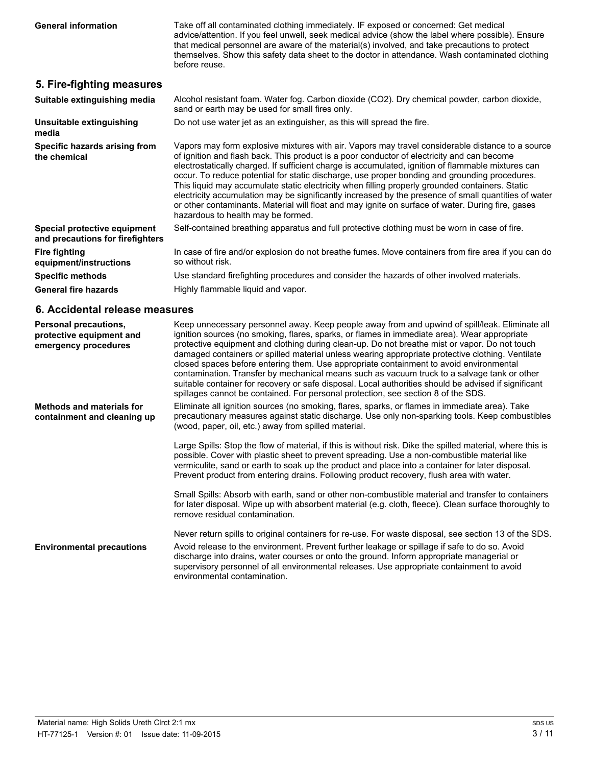Take off all contaminated clothing immediately. IF exposed or concerned: Get medical advice/attention. If you feel unwell, seek medical advice (show the label where possible). Ensure that medical personnel are aware of the material(s) involved, and take precautions to protect themselves. Show this safety data sheet to the doctor in attendance. Wash contaminated clothing before reuse.

#### **5. Fire-fighting measures**

| Suitable extinguishing media                                     | Alcohol resistant foam. Water fog. Carbon dioxide (CO2). Dry chemical powder, carbon dioxide,<br>sand or earth may be used for small fires only.                                                                                                                                                                                                                                                                                                                                                                                                                                                                                                                                                                                                            |  |
|------------------------------------------------------------------|-------------------------------------------------------------------------------------------------------------------------------------------------------------------------------------------------------------------------------------------------------------------------------------------------------------------------------------------------------------------------------------------------------------------------------------------------------------------------------------------------------------------------------------------------------------------------------------------------------------------------------------------------------------------------------------------------------------------------------------------------------------|--|
| Unsuitable extinguishing<br>media                                | Do not use water jet as an extinguisher, as this will spread the fire.                                                                                                                                                                                                                                                                                                                                                                                                                                                                                                                                                                                                                                                                                      |  |
| Specific hazards arising from<br>the chemical                    | Vapors may form explosive mixtures with air. Vapors may travel considerable distance to a source<br>of ignition and flash back. This product is a poor conductor of electricity and can become<br>electrostatically charged. If sufficient charge is accumulated, ignition of flammable mixtures can<br>occur. To reduce potential for static discharge, use proper bonding and grounding procedures.<br>This liquid may accumulate static electricity when filling properly grounded containers. Static<br>electricity accumulation may be significantly increased by the presence of small quantities of water<br>or other contaminants. Material will float and may ignite on surface of water. During fire, gases<br>hazardous to health may be formed. |  |
| Special protective equipment<br>and precautions for firefighters | Self-contained breathing apparatus and full protective clothing must be worn in case of fire.                                                                                                                                                                                                                                                                                                                                                                                                                                                                                                                                                                                                                                                               |  |
| Fire fighting<br>equipment/instructions                          | In case of fire and/or explosion do not breathe fumes. Move containers from fire area if you can do<br>so without risk.                                                                                                                                                                                                                                                                                                                                                                                                                                                                                                                                                                                                                                     |  |
| <b>Specific methods</b>                                          | Use standard firefighting procedures and consider the hazards of other involved materials.                                                                                                                                                                                                                                                                                                                                                                                                                                                                                                                                                                                                                                                                  |  |
| <b>General fire hazards</b>                                      | Highly flammable liquid and vapor.                                                                                                                                                                                                                                                                                                                                                                                                                                                                                                                                                                                                                                                                                                                          |  |

### **6. Accidental release measures**

| Personal precautions,<br>protective equipment and<br>emergency procedures | Keep unnecessary personnel away. Keep people away from and upwind of spill/leak. Eliminate all<br>ignition sources (no smoking, flares, sparks, or flames in immediate area). Wear appropriate<br>protective equipment and clothing during clean-up. Do not breathe mist or vapor. Do not touch<br>damaged containers or spilled material unless wearing appropriate protective clothing. Ventilate<br>closed spaces before entering them. Use appropriate containment to avoid environmental<br>contamination. Transfer by mechanical means such as vacuum truck to a salvage tank or other<br>suitable container for recovery or safe disposal. Local authorities should be advised if significant<br>spillages cannot be contained. For personal protection, see section 8 of the SDS. |
|---------------------------------------------------------------------------|-------------------------------------------------------------------------------------------------------------------------------------------------------------------------------------------------------------------------------------------------------------------------------------------------------------------------------------------------------------------------------------------------------------------------------------------------------------------------------------------------------------------------------------------------------------------------------------------------------------------------------------------------------------------------------------------------------------------------------------------------------------------------------------------|
| <b>Methods and materials for</b><br>containment and cleaning up           | Eliminate all ignition sources (no smoking, flares, sparks, or flames in immediate area). Take<br>precautionary measures against static discharge. Use only non-sparking tools. Keep combustibles<br>(wood, paper, oil, etc.) away from spilled material.                                                                                                                                                                                                                                                                                                                                                                                                                                                                                                                                 |
|                                                                           | Large Spills: Stop the flow of material, if this is without risk. Dike the spilled material, where this is<br>possible. Cover with plastic sheet to prevent spreading. Use a non-combustible material like<br>vermiculite, sand or earth to soak up the product and place into a container for later disposal.<br>Prevent product from entering drains. Following product recovery, flush area with water.                                                                                                                                                                                                                                                                                                                                                                                |
|                                                                           | Small Spills: Absorb with earth, sand or other non-combustible material and transfer to containers<br>for later disposal. Wipe up with absorbent material (e.g. cloth, fleece). Clean surface thoroughly to<br>remove residual contamination.                                                                                                                                                                                                                                                                                                                                                                                                                                                                                                                                             |
|                                                                           | Never return spills to original containers for re-use. For waste disposal, see section 13 of the SDS.                                                                                                                                                                                                                                                                                                                                                                                                                                                                                                                                                                                                                                                                                     |
| <b>Environmental precautions</b>                                          | Avoid release to the environment. Prevent further leakage or spillage if safe to do so. Avoid<br>discharge into drains, water courses or onto the ground. Inform appropriate managerial or<br>supervisory personnel of all environmental releases. Use appropriate containment to avoid<br>environmental contamination.                                                                                                                                                                                                                                                                                                                                                                                                                                                                   |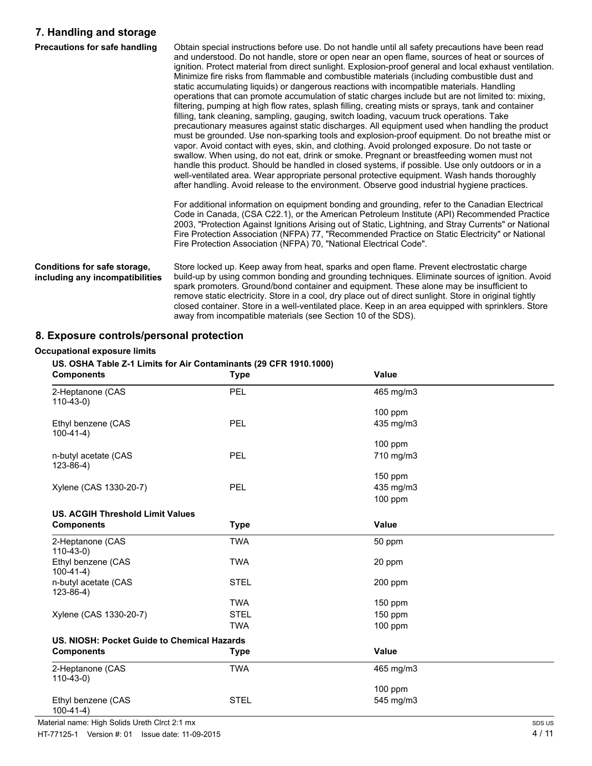### **7. Handling and storage**

| Precautions for safe handling                                   | Obtain special instructions before use. Do not handle until all safety precautions have been read<br>and understood. Do not handle, store or open near an open flame, sources of heat or sources of<br>ignition. Protect material from direct sunlight. Explosion-proof general and local exhaust ventilation.<br>Minimize fire risks from flammable and combustible materials (including combustible dust and<br>static accumulating liquids) or dangerous reactions with incompatible materials. Handling<br>operations that can promote accumulation of static charges include but are not limited to: mixing,<br>filtering, pumping at high flow rates, splash filling, creating mists or sprays, tank and container<br>filling, tank cleaning, sampling, gauging, switch loading, vacuum truck operations. Take<br>precautionary measures against static discharges. All equipment used when handling the product<br>must be grounded. Use non-sparking tools and explosion-proof equipment. Do not breathe mist or<br>vapor. Avoid contact with eyes, skin, and clothing. Avoid prolonged exposure. Do not taste or<br>swallow. When using, do not eat, drink or smoke. Pregnant or breastfeeding women must not<br>handle this product. Should be handled in closed systems, if possible. Use only outdoors or in a<br>well-ventilated area. Wear appropriate personal protective equipment. Wash hands thoroughly<br>after handling. Avoid release to the environment. Observe good industrial hygiene practices. |
|-----------------------------------------------------------------|---------------------------------------------------------------------------------------------------------------------------------------------------------------------------------------------------------------------------------------------------------------------------------------------------------------------------------------------------------------------------------------------------------------------------------------------------------------------------------------------------------------------------------------------------------------------------------------------------------------------------------------------------------------------------------------------------------------------------------------------------------------------------------------------------------------------------------------------------------------------------------------------------------------------------------------------------------------------------------------------------------------------------------------------------------------------------------------------------------------------------------------------------------------------------------------------------------------------------------------------------------------------------------------------------------------------------------------------------------------------------------------------------------------------------------------------------------------------------------------------------------------------------|
|                                                                 | For additional information on equipment bonding and grounding, refer to the Canadian Electrical<br>Code in Canada, (CSA C22.1), or the American Petroleum Institute (API) Recommended Practice<br>2003, "Protection Against Ignitions Arising out of Static, Lightning, and Stray Currents" or National<br>Fire Protection Association (NFPA) 77, "Recommended Practice on Static Electricity" or National<br>Fire Protection Association (NFPA) 70, "National Electrical Code".                                                                                                                                                                                                                                                                                                                                                                                                                                                                                                                                                                                                                                                                                                                                                                                                                                                                                                                                                                                                                                          |
| Conditions for safe storage,<br>including any incompatibilities | Store locked up. Keep away from heat, sparks and open flame. Prevent electrostatic charge<br>build-up by using common bonding and grounding techniques. Eliminate sources of ignition. Avoid<br>spark promoters. Ground/bond container and equipment. These alone may be insufficient to<br>remove static electricity. Store in a cool, dry place out of direct sunlight. Store in original tightly<br>closed container. Store in a well-ventilated place. Keep in an area equipped with sprinklers. Store<br>away from incompatible materials (see Section 10 of the SDS).                                                                                                                                                                                                                                                                                                                                                                                                                                                                                                                                                                                                                                                                                                                                                                                                                                                                                                                                               |

# **8. Exposure controls/personal protection**

#### **Occupational exposure limits**

#### **US. OSHA Table Z-1 Limits for Air Contaminants (29 CFR 1910.1000)**

| <b>Components</b>                           | <b>Type</b> | Value        |  |
|---------------------------------------------|-------------|--------------|--|
| 2-Heptanone (CAS<br>$110-43-0$              | PEL         | 465 mg/m3    |  |
|                                             |             | 100 ppm      |  |
| Ethyl benzene (CAS<br>$100-41-4)$           | PEL         | 435 mg/m3    |  |
|                                             |             | 100 ppm      |  |
| n-butyl acetate (CAS<br>$123 - 86 - 4$ )    | PEL         | 710 mg/m3    |  |
|                                             |             | 150 ppm      |  |
| Xylene (CAS 1330-20-7)                      | PEL         | 435 mg/m3    |  |
|                                             |             | 100 ppm      |  |
| <b>US. ACGIH Threshold Limit Values</b>     |             |              |  |
| <b>Components</b>                           | <b>Type</b> | Value        |  |
| 2-Heptanone (CAS<br>$110-43-0$              | <b>TWA</b>  | 50 ppm       |  |
| Ethyl benzene (CAS<br>$100-41-4)$           | <b>TWA</b>  | 20 ppm       |  |
| n-butyl acetate (CAS<br>$123 - 86 - 4$ )    | <b>STEL</b> | $200$ ppm    |  |
|                                             | <b>TWA</b>  | 150 ppm      |  |
| Xylene (CAS 1330-20-7)                      | <b>STEL</b> | 150 ppm      |  |
|                                             | <b>TWA</b>  | 100 ppm      |  |
| US. NIOSH: Pocket Guide to Chemical Hazards |             |              |  |
| <b>Components</b>                           | <b>Type</b> | <b>Value</b> |  |
| 2-Heptanone (CAS<br>$110-43-0$              | <b>TWA</b>  | 465 mg/m3    |  |
|                                             |             | 100 ppm      |  |
| Ethyl benzene (CAS<br>$100-41-4)$           | <b>STEL</b> | 545 mg/m3    |  |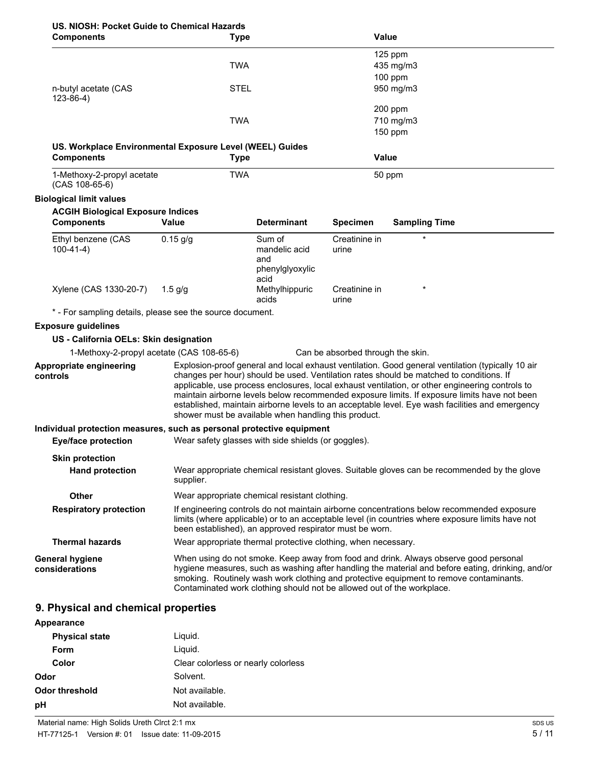|            | US. NIOSH: Pocket Guide to Chemical Hazards |
|------------|---------------------------------------------|
| Comnonents | <b>Tyn</b>                                  |

| OURCE OURLY TO ONCHRIGHT<br><b>Components</b>                                 | <b>Type</b>                                                            |                                                   | Value                             |                                                                                                                                                                                                                                                                                                                                                                                                                                                                                                    |
|-------------------------------------------------------------------------------|------------------------------------------------------------------------|---------------------------------------------------|-----------------------------------|----------------------------------------------------------------------------------------------------------------------------------------------------------------------------------------------------------------------------------------------------------------------------------------------------------------------------------------------------------------------------------------------------------------------------------------------------------------------------------------------------|
|                                                                               |                                                                        |                                                   |                                   | 125 ppm                                                                                                                                                                                                                                                                                                                                                                                                                                                                                            |
|                                                                               | <b>TWA</b>                                                             |                                                   |                                   | 435 mg/m3                                                                                                                                                                                                                                                                                                                                                                                                                                                                                          |
|                                                                               |                                                                        |                                                   |                                   | $100$ ppm                                                                                                                                                                                                                                                                                                                                                                                                                                                                                          |
| n-butyl acetate (CAS<br>$123 - 86 - 4$ )                                      | <b>STEL</b>                                                            |                                                   |                                   | 950 mg/m3                                                                                                                                                                                                                                                                                                                                                                                                                                                                                          |
|                                                                               |                                                                        |                                                   |                                   | 200 ppm                                                                                                                                                                                                                                                                                                                                                                                                                                                                                            |
|                                                                               | <b>TWA</b>                                                             |                                                   |                                   | 710 mg/m3                                                                                                                                                                                                                                                                                                                                                                                                                                                                                          |
|                                                                               |                                                                        |                                                   |                                   | $150$ ppm                                                                                                                                                                                                                                                                                                                                                                                                                                                                                          |
| US. Workplace Environmental Exposure Level (WEEL) Guides<br><b>Components</b> | <b>Type</b>                                                            |                                                   |                                   | Value                                                                                                                                                                                                                                                                                                                                                                                                                                                                                              |
| 1-Methoxy-2-propyl acetate<br>$(CAS 108-65-6)$                                | <b>TWA</b>                                                             |                                                   |                                   | 50 ppm                                                                                                                                                                                                                                                                                                                                                                                                                                                                                             |
| <b>Biological limit values</b>                                                |                                                                        |                                                   |                                   |                                                                                                                                                                                                                                                                                                                                                                                                                                                                                                    |
| <b>ACGIH Biological Exposure Indices</b>                                      |                                                                        |                                                   |                                   |                                                                                                                                                                                                                                                                                                                                                                                                                                                                                                    |
| <b>Components</b>                                                             | Value                                                                  | <b>Determinant</b>                                | <b>Specimen</b>                   | <b>Sampling Time</b>                                                                                                                                                                                                                                                                                                                                                                                                                                                                               |
| Ethyl benzene (CAS<br>$100-41-4)$                                             | $0.15$ g/g                                                             | Sum of<br>mandelic acid<br>and<br>phenylglyoxylic | Creatinine in<br>urine            | $\star$                                                                                                                                                                                                                                                                                                                                                                                                                                                                                            |
| Xylene (CAS 1330-20-7)                                                        | $1.5$ g/g                                                              | acid<br>Methylhippuric<br>acids                   | Creatinine in<br>urine            |                                                                                                                                                                                                                                                                                                                                                                                                                                                                                                    |
| * - For sampling details, please see the source document.                     |                                                                        |                                                   |                                   |                                                                                                                                                                                                                                                                                                                                                                                                                                                                                                    |
| <b>Exposure guidelines</b>                                                    |                                                                        |                                                   |                                   |                                                                                                                                                                                                                                                                                                                                                                                                                                                                                                    |
| US - California OELs: Skin designation                                        |                                                                        |                                                   |                                   |                                                                                                                                                                                                                                                                                                                                                                                                                                                                                                    |
| 1-Methoxy-2-propyl acetate (CAS 108-65-6)                                     |                                                                        |                                                   | Can be absorbed through the skin. |                                                                                                                                                                                                                                                                                                                                                                                                                                                                                                    |
| Appropriate engineering<br>controls                                           | shower must be available when handling this product.                   |                                                   |                                   | Explosion-proof general and local exhaust ventilation. Good general ventilation (typically 10 air<br>changes per hour) should be used. Ventilation rates should be matched to conditions. If<br>applicable, use process enclosures, local exhaust ventilation, or other engineering controls to<br>maintain airborne levels below recommended exposure limits. If exposure limits have not been<br>established, maintain airborne levels to an acceptable level. Eye wash facilities and emergency |
| Individual protection measures, such as personal protective equipment         |                                                                        |                                                   |                                   |                                                                                                                                                                                                                                                                                                                                                                                                                                                                                                    |
| <b>Eye/face protection</b>                                                    | Wear safety glasses with side shields (or goggles).                    |                                                   |                                   |                                                                                                                                                                                                                                                                                                                                                                                                                                                                                                    |
| <b>Skin protection</b><br><b>Hand protection</b>                              | supplier.                                                              |                                                   |                                   | Wear appropriate chemical resistant gloves. Suitable gloves can be recommended by the glove                                                                                                                                                                                                                                                                                                                                                                                                        |
| <b>Other</b>                                                                  | Wear appropriate chemical resistant clothing.                          |                                                   |                                   |                                                                                                                                                                                                                                                                                                                                                                                                                                                                                                    |
| <b>Respiratory protection</b>                                                 | been established), an approved respirator must be worn.                |                                                   |                                   | If engineering controls do not maintain airborne concentrations below recommended exposure<br>limits (where applicable) or to an acceptable level (in countries where exposure limits have not                                                                                                                                                                                                                                                                                                     |
| <b>Thermal hazards</b>                                                        | Wear appropriate thermal protective clothing, when necessary.          |                                                   |                                   |                                                                                                                                                                                                                                                                                                                                                                                                                                                                                                    |
| General hygiene<br>considerations                                             | Contaminated work clothing should not be allowed out of the workplace. |                                                   |                                   | When using do not smoke. Keep away from food and drink. Always observe good personal<br>hygiene measures, such as washing after handling the material and before eating, drinking, and/or<br>smoking. Routinely wash work clothing and protective equipment to remove contaminants.                                                                                                                                                                                                                |
| 9. Physical and chemical properties                                           |                                                                        |                                                   |                                   |                                                                                                                                                                                                                                                                                                                                                                                                                                                                                                    |

| Appearance            |                                     |
|-----------------------|-------------------------------------|
| <b>Physical state</b> | Liquid.                             |
| Form                  | Liquid.                             |
| Color                 | Clear colorless or nearly colorless |
| Odor                  | Solvent.                            |
| <b>Odor threshold</b> | Not available.                      |
| рH                    | Not available.                      |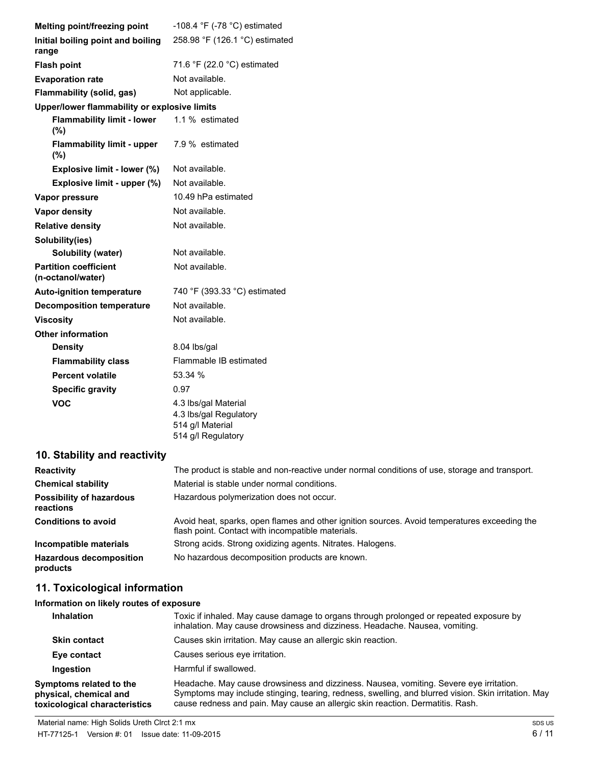| Melting point/freezing point                      | -108.4 $\degree$ F (-78 $\degree$ C) estimated                     |
|---------------------------------------------------|--------------------------------------------------------------------|
| Initial boiling point and boiling<br>range        | 258.98 °F (126.1 °C) estimated                                     |
| <b>Flash point</b>                                | 71.6 °F (22.0 °C) estimated                                        |
| <b>Evaporation rate</b>                           | Not available.                                                     |
| Flammability (solid, gas)                         | Not applicable.                                                    |
| Upper/lower flammability or explosive limits      |                                                                    |
| <b>Flammability limit - lower</b><br>$(\%)$       | 1.1 % estimated                                                    |
| <b>Flammability limit - upper</b><br>(%)          | 7.9 % estimated                                                    |
| Explosive limit - lower (%)                       | Not available.                                                     |
| Explosive limit - upper (%)                       | Not available.                                                     |
| Vapor pressure                                    | 10.49 hPa estimated                                                |
| <b>Vapor density</b>                              | Not available.                                                     |
| <b>Relative density</b>                           | Not available.                                                     |
| Solubility(ies)                                   |                                                                    |
| <b>Solubility (water)</b>                         | Not available.                                                     |
| <b>Partition coefficient</b><br>(n-octanol/water) | Not available.                                                     |
| <b>Auto-ignition temperature</b>                  | 740 °F (393.33 °C) estimated                                       |
| <b>Decomposition temperature</b>                  | Not available.                                                     |
| <b>Viscosity</b>                                  | Not available.                                                     |
| <b>Other information</b>                          |                                                                    |
| <b>Density</b>                                    | 8.04 lbs/gal                                                       |
| <b>Flammability class</b>                         | Flammable IB estimated                                             |
| <b>Percent volatile</b>                           | 53.34 %                                                            |
| <b>Specific gravity</b>                           | 0.97                                                               |
| <b>VOC</b>                                        | 4.3 lbs/gal Material<br>4.3 lbs/gal Regulatory<br>514 g/l Material |

514 g/l Regulatory

# **10. Stability and reactivity**

| <b>Reactivity</b>                            | The product is stable and non-reactive under normal conditions of use, storage and transport.                                                     |
|----------------------------------------------|---------------------------------------------------------------------------------------------------------------------------------------------------|
| <b>Chemical stability</b>                    | Material is stable under normal conditions.                                                                                                       |
| <b>Possibility of hazardous</b><br>reactions | Hazardous polymerization does not occur.                                                                                                          |
| <b>Conditions to avoid</b>                   | Avoid heat, sparks, open flames and other ignition sources. Avoid temperatures exceeding the<br>flash point. Contact with incompatible materials. |
| Incompatible materials                       | Strong acids. Strong oxidizing agents. Nitrates. Halogens.                                                                                        |
| <b>Hazardous decomposition</b><br>products   | No hazardous decomposition products are known.                                                                                                    |

# **11. Toxicological information**

| Information on likely routes of exposure |                                                                                                                                         |  |
|------------------------------------------|-----------------------------------------------------------------------------------------------------------------------------------------|--|
| <b>Inhalation</b>                        | Toxic if inhaled. May cause<br>$\sim$ 1. The $\sim$ 1. The $\sim$ 1. The $\sim$ 1. The $\sim$ 1. The $\sim$ 1. The $\sim$ 1. The $\sim$ |  |

| <b>Inhalation</b>                                                                  | Toxic if inhaled. May cause damage to organs through prolonged or repeated exposure by<br>inhalation. May cause drowsiness and dizziness. Headache. Nausea, vomiting.                                                                                                           |
|------------------------------------------------------------------------------------|---------------------------------------------------------------------------------------------------------------------------------------------------------------------------------------------------------------------------------------------------------------------------------|
| <b>Skin contact</b>                                                                | Causes skin irritation. May cause an allergic skin reaction.                                                                                                                                                                                                                    |
| Eye contact                                                                        | Causes serious eye irritation.                                                                                                                                                                                                                                                  |
| Ingestion                                                                          | Harmful if swallowed.                                                                                                                                                                                                                                                           |
| Symptoms related to the<br>physical, chemical and<br>toxicological characteristics | Headache. May cause drowsiness and dizziness. Nausea, vomiting. Severe eye irritation.<br>Symptoms may include stinging, tearing, redness, swelling, and blurred vision. Skin irritation. May<br>cause redness and pain. May cause an allergic skin reaction. Dermatitis. Rash. |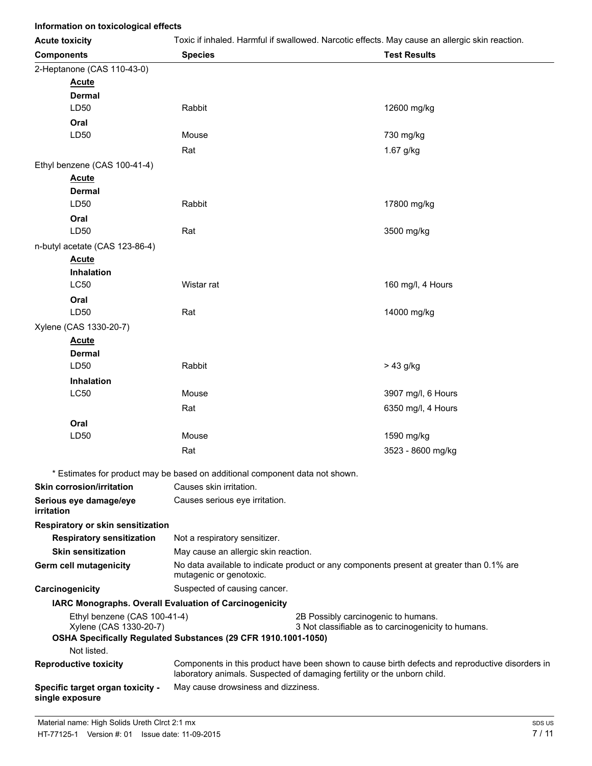| Information on toxicological effects                   |                                                                                                                     |                                                                                                                                                                             |
|--------------------------------------------------------|---------------------------------------------------------------------------------------------------------------------|-----------------------------------------------------------------------------------------------------------------------------------------------------------------------------|
| <b>Acute toxicity</b>                                  |                                                                                                                     | Toxic if inhaled. Harmful if swallowed. Narcotic effects. May cause an allergic skin reaction.                                                                              |
| <b>Components</b>                                      | <b>Species</b>                                                                                                      | <b>Test Results</b>                                                                                                                                                         |
| 2-Heptanone (CAS 110-43-0)                             |                                                                                                                     |                                                                                                                                                                             |
| <b>Acute</b>                                           |                                                                                                                     |                                                                                                                                                                             |
| <b>Dermal</b>                                          |                                                                                                                     |                                                                                                                                                                             |
| LD50                                                   | Rabbit                                                                                                              | 12600 mg/kg                                                                                                                                                                 |
| Oral                                                   |                                                                                                                     |                                                                                                                                                                             |
| LD50                                                   | Mouse                                                                                                               | 730 mg/kg                                                                                                                                                                   |
|                                                        | Rat                                                                                                                 | 1.67 g/kg                                                                                                                                                                   |
| Ethyl benzene (CAS 100-41-4)                           |                                                                                                                     |                                                                                                                                                                             |
| <b>Acute</b>                                           |                                                                                                                     |                                                                                                                                                                             |
| <b>Dermal</b>                                          |                                                                                                                     |                                                                                                                                                                             |
| LD50                                                   | Rabbit                                                                                                              | 17800 mg/kg                                                                                                                                                                 |
| Oral                                                   |                                                                                                                     |                                                                                                                                                                             |
| LD50                                                   | Rat                                                                                                                 | 3500 mg/kg                                                                                                                                                                  |
| n-butyl acetate (CAS 123-86-4)                         |                                                                                                                     |                                                                                                                                                                             |
| <b>Acute</b>                                           |                                                                                                                     |                                                                                                                                                                             |
| Inhalation                                             |                                                                                                                     |                                                                                                                                                                             |
| <b>LC50</b>                                            | Wistar rat                                                                                                          | 160 mg/l, 4 Hours                                                                                                                                                           |
| Oral                                                   |                                                                                                                     |                                                                                                                                                                             |
| LD50                                                   | Rat                                                                                                                 | 14000 mg/kg                                                                                                                                                                 |
| Xylene (CAS 1330-20-7)                                 |                                                                                                                     |                                                                                                                                                                             |
| <b>Acute</b>                                           |                                                                                                                     |                                                                                                                                                                             |
| <b>Dermal</b>                                          |                                                                                                                     |                                                                                                                                                                             |
| LD50                                                   | Rabbit                                                                                                              | > 43 g/kg                                                                                                                                                                   |
| <b>Inhalation</b>                                      |                                                                                                                     |                                                                                                                                                                             |
| <b>LC50</b>                                            | Mouse                                                                                                               | 3907 mg/l, 6 Hours                                                                                                                                                          |
|                                                        | Rat                                                                                                                 | 6350 mg/l, 4 Hours                                                                                                                                                          |
| Oral                                                   |                                                                                                                     |                                                                                                                                                                             |
| LD50                                                   | Mouse                                                                                                               | 1590 mg/kg                                                                                                                                                                  |
|                                                        | Rat                                                                                                                 | 3523 - 8600 mg/kg                                                                                                                                                           |
|                                                        | * Estimates for product may be based on additional component data not shown.                                        |                                                                                                                                                                             |
| <b>Skin corrosion/irritation</b>                       | Causes skin irritation.                                                                                             |                                                                                                                                                                             |
| Serious eye damage/eye                                 | Causes serious eye irritation.                                                                                      |                                                                                                                                                                             |
| irritation                                             |                                                                                                                     |                                                                                                                                                                             |
| Respiratory or skin sensitization                      |                                                                                                                     |                                                                                                                                                                             |
| <b>Respiratory sensitization</b>                       | Not a respiratory sensitizer.                                                                                       |                                                                                                                                                                             |
| <b>Skin sensitization</b>                              | May cause an allergic skin reaction.                                                                                |                                                                                                                                                                             |
| Germ cell mutagenicity                                 | No data available to indicate product or any components present at greater than 0.1% are<br>mutagenic or genotoxic. |                                                                                                                                                                             |
| Carcinogenicity                                        | Suspected of causing cancer.                                                                                        |                                                                                                                                                                             |
|                                                        | IARC Monographs. Overall Evaluation of Carcinogenicity                                                              |                                                                                                                                                                             |
| Ethyl benzene (CAS 100-41-4)<br>Xylene (CAS 1330-20-7) |                                                                                                                     | 2B Possibly carcinogenic to humans.<br>3 Not classifiable as to carcinogenicity to humans.                                                                                  |
|                                                        | OSHA Specifically Regulated Substances (29 CFR 1910.1001-1050)                                                      |                                                                                                                                                                             |
| Not listed.                                            |                                                                                                                     |                                                                                                                                                                             |
| <b>Reproductive toxicity</b>                           |                                                                                                                     | Components in this product have been shown to cause birth defects and reproductive disorders in<br>laboratory animals. Suspected of damaging fertility or the unborn child. |
| Specific target organ toxicity -<br>single exposure    | May cause drowsiness and dizziness.                                                                                 |                                                                                                                                                                             |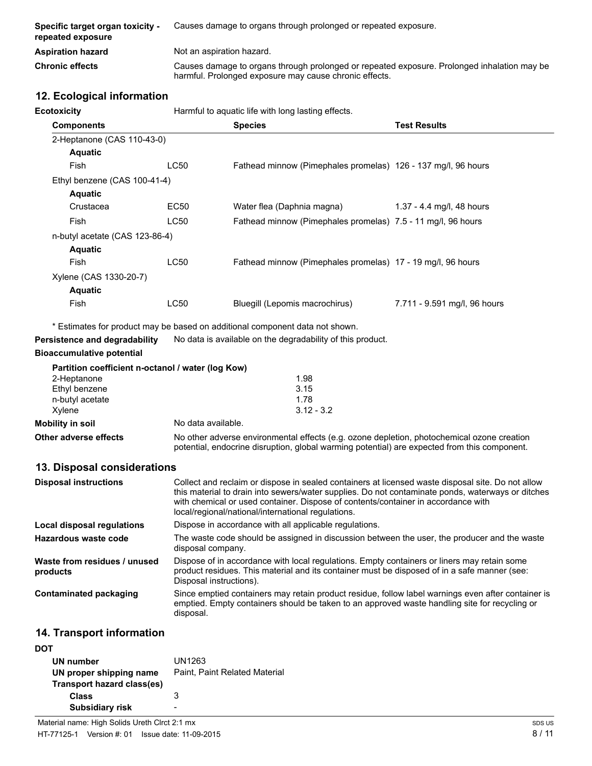| Specific target organ toxicity -<br>repeated exposure | Causes damage to organs through prolonged or repeated exposure.                                                                                       |
|-------------------------------------------------------|-------------------------------------------------------------------------------------------------------------------------------------------------------|
| <b>Aspiration hazard</b>                              | Not an aspiration hazard.                                                                                                                             |
| <b>Chronic effects</b>                                | Causes damage to organs through prolonged or repeated exposure. Prolonged inhalation may be<br>harmful. Prolonged exposure may cause chronic effects. |

# **12. Ecological information**

| <b>Ecotoxicity</b>             |      | Harmful to aquatic life with long lasting effects.                           |                              |
|--------------------------------|------|------------------------------------------------------------------------------|------------------------------|
| <b>Components</b>              |      | <b>Species</b>                                                               | <b>Test Results</b>          |
| 2-Heptanone (CAS 110-43-0)     |      |                                                                              |                              |
| <b>Aquatic</b>                 |      |                                                                              |                              |
| Fish                           | LC50 | Fathead minnow (Pimephales promelas) 126 - 137 mg/l, 96 hours                |                              |
| Ethyl benzene (CAS 100-41-4)   |      |                                                                              |                              |
| <b>Aquatic</b>                 |      |                                                                              |                              |
| Crustacea                      | EC50 | Water flea (Daphnia magna)                                                   | 1.37 - 4.4 mg/l, 48 hours    |
| Fish                           | LC50 | Fathead minnow (Pimephales promelas) 7.5 - 11 mg/l, 96 hours                 |                              |
| n-butyl acetate (CAS 123-86-4) |      |                                                                              |                              |
| <b>Aquatic</b>                 |      |                                                                              |                              |
| Fish                           | LC50 | Fathead minnow (Pimephales promelas) 17 - 19 mg/l, 96 hours                  |                              |
| Xylene (CAS 1330-20-7)         |      |                                                                              |                              |
| <b>Aquatic</b>                 |      |                                                                              |                              |
| Fish                           | LC50 | Bluegill (Lepomis macrochirus)                                               | 7.711 - 9.591 mg/l, 96 hours |
|                                |      | * Estimates for product may be based on additional component data not shown. |                              |
| Persistence and degradability  |      | No data is available on the degradability of this product.                   |                              |

#### **Bioaccumulative potential**

|                       | Partition coefficient n-octanol / water (log Kow)                                                                                                                                          |
|-----------------------|--------------------------------------------------------------------------------------------------------------------------------------------------------------------------------------------|
| 2-Heptanone           | 1.98                                                                                                                                                                                       |
| Ethyl benzene         | 3.15                                                                                                                                                                                       |
| n-butyl acetate       | 1.78                                                                                                                                                                                       |
| Xvlene                | $3.12 - 3.2$                                                                                                                                                                               |
| Mobility in soil      | No data available.                                                                                                                                                                         |
| Other adverse effects | No other adverse environmental effects (e.g. ozone depletion, photochemical ozone creation<br>potential, endocrine disruption, global warming potential) are expected from this component. |

### **13. Disposal considerations**

| <b>Disposal instructions</b>             | Collect and reclaim or dispose in sealed containers at licensed waste disposal site. Do not allow<br>this material to drain into sewers/water supplies. Do not contaminate ponds, waterways or ditches<br>with chemical or used container. Dispose of contents/container in accordance with<br>local/regional/national/international regulations. |
|------------------------------------------|---------------------------------------------------------------------------------------------------------------------------------------------------------------------------------------------------------------------------------------------------------------------------------------------------------------------------------------------------|
| Local disposal regulations               | Dispose in accordance with all applicable regulations.                                                                                                                                                                                                                                                                                            |
| Hazardous waste code                     | The waste code should be assigned in discussion between the user, the producer and the waste<br>disposal company.                                                                                                                                                                                                                                 |
| Waste from residues / unused<br>products | Dispose of in accordance with local regulations. Empty containers or liners may retain some<br>product residues. This material and its container must be disposed of in a safe manner (see:<br>Disposal instructions).                                                                                                                            |
| <b>Contaminated packaging</b>            | Since emptied containers may retain product residue, follow label warnings even after container is<br>emptied. Empty containers should be taken to an approved waste handling site for recycling or<br>disposal.                                                                                                                                  |

# **14. Transport information**

| DOT                        |                               |
|----------------------------|-------------------------------|
| UN number                  | UN1263                        |
| UN proper shipping name    | Paint, Paint Related Material |
| Transport hazard class(es) |                               |
| Class                      | 3                             |
| <b>Subsidiary risk</b>     |                               |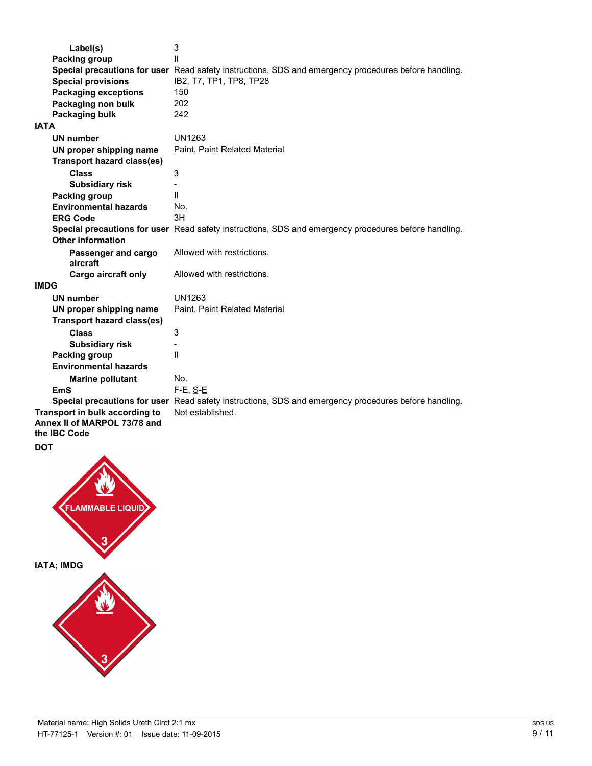| Label(s)                          | 3                                                                                                    |
|-----------------------------------|------------------------------------------------------------------------------------------------------|
| Packing group                     | $\mathsf{I}$                                                                                         |
|                                   | Special precautions for user Read safety instructions, SDS and emergency procedures before handling. |
| <b>Special provisions</b>         | IB2, T7, TP1, TP8, TP28                                                                              |
| <b>Packaging exceptions</b>       | 150                                                                                                  |
| Packaging non bulk                | 202                                                                                                  |
| Packaging bulk                    | 242                                                                                                  |
| <b>IATA</b>                       |                                                                                                      |
| <b>UN number</b>                  | UN1263                                                                                               |
| UN proper shipping name           | Paint, Paint Related Material                                                                        |
| <b>Transport hazard class(es)</b> |                                                                                                      |
| <b>Class</b>                      | 3                                                                                                    |
| <b>Subsidiary risk</b>            |                                                                                                      |
| <b>Packing group</b>              | $\mathbf{I}$                                                                                         |
| <b>Environmental hazards</b>      | No.                                                                                                  |
| <b>ERG Code</b>                   | 3H                                                                                                   |
|                                   | Special precautions for user Read safety instructions, SDS and emergency procedures before handling. |
| <b>Other information</b>          |                                                                                                      |
| Passenger and cargo               | Allowed with restrictions.                                                                           |
| aircraft                          |                                                                                                      |
| Cargo aircraft only               | Allowed with restrictions.                                                                           |
| <b>IMDG</b>                       |                                                                                                      |
| <b>UN number</b>                  | UN1263                                                                                               |
| UN proper shipping name           | Paint, Paint Related Material                                                                        |
| <b>Transport hazard class(es)</b> |                                                                                                      |
| <b>Class</b>                      | 3                                                                                                    |
| <b>Subsidiary risk</b>            |                                                                                                      |
| Packing group                     | $\mathbf{H}$                                                                                         |
| <b>Environmental hazards</b>      |                                                                                                      |
| <b>Marine pollutant</b>           | No.                                                                                                  |
| <b>EmS</b>                        | $F-E$ , $S-E$                                                                                        |
|                                   | Special precautions for user Read safety instructions, SDS and emergency procedures before handling. |
| Transport in bulk according to    | Not established.                                                                                     |
| Annex II of MARPOL 73/78 and      |                                                                                                      |
| the IBC Code                      |                                                                                                      |

**DOT**

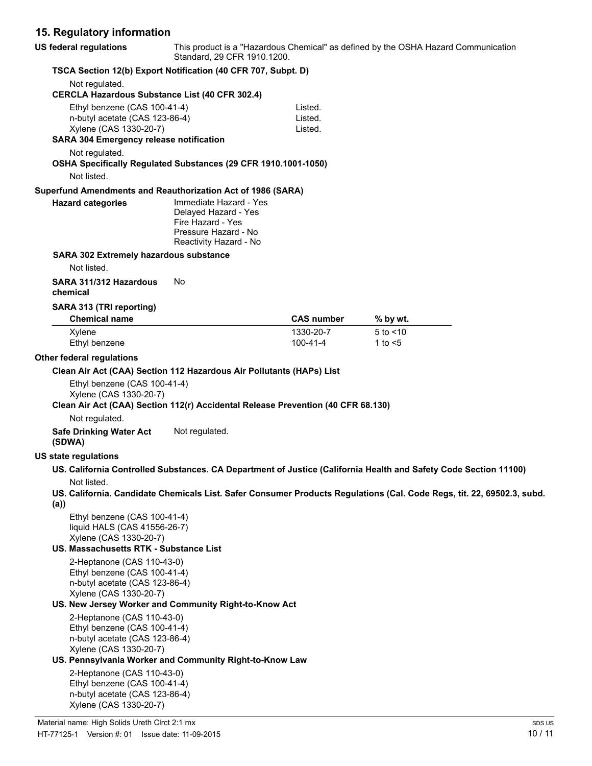# **15. Regulatory information**

| <b>US federal regulations</b>                                                                                                       | Standard, 29 CFR 1910.1200.                                                                                           |                               | This product is a "Hazardous Chemical" as defined by the OSHA Hazard Communication                                     |
|-------------------------------------------------------------------------------------------------------------------------------------|-----------------------------------------------------------------------------------------------------------------------|-------------------------------|------------------------------------------------------------------------------------------------------------------------|
| TSCA Section 12(b) Export Notification (40 CFR 707, Subpt. D)                                                                       |                                                                                                                       |                               |                                                                                                                        |
| Not regulated.<br><b>CERCLA Hazardous Substance List (40 CFR 302.4)</b>                                                             |                                                                                                                       |                               |                                                                                                                        |
| Ethyl benzene (CAS 100-41-4)<br>n-butyl acetate (CAS 123-86-4)<br>Xylene (CAS 1330-20-7)<br>SARA 304 Emergency release notification |                                                                                                                       | Listed.<br>Listed.<br>Listed. |                                                                                                                        |
| Not regulated.                                                                                                                      |                                                                                                                       |                               |                                                                                                                        |
| OSHA Specifically Regulated Substances (29 CFR 1910.1001-1050)<br>Not listed.                                                       |                                                                                                                       |                               |                                                                                                                        |
| Superfund Amendments and Reauthorization Act of 1986 (SARA)                                                                         |                                                                                                                       |                               |                                                                                                                        |
| <b>Hazard categories</b>                                                                                                            | Immediate Hazard - Yes<br>Delayed Hazard - Yes<br>Fire Hazard - Yes<br>Pressure Hazard - No<br>Reactivity Hazard - No |                               |                                                                                                                        |
| <b>SARA 302 Extremely hazardous substance</b>                                                                                       |                                                                                                                       |                               |                                                                                                                        |
| Not listed.                                                                                                                         |                                                                                                                       |                               |                                                                                                                        |
| SARA 311/312 Hazardous<br>chemical                                                                                                  | No                                                                                                                    |                               |                                                                                                                        |
| SARA 313 (TRI reporting)<br><b>Chemical name</b>                                                                                    |                                                                                                                       | <b>CAS number</b>             | % by wt.                                                                                                               |
| Xylene<br>Ethyl benzene                                                                                                             |                                                                                                                       | 1330-20-7<br>$100 - 41 - 4$   | $5$ to $<$ 10<br>1 to $<$ 5                                                                                            |
| Other federal regulations                                                                                                           |                                                                                                                       |                               |                                                                                                                        |
| Clean Air Act (CAA) Section 112 Hazardous Air Pollutants (HAPs) List                                                                |                                                                                                                       |                               |                                                                                                                        |
| Ethyl benzene (CAS 100-41-4)<br>Xylene (CAS 1330-20-7)                                                                              |                                                                                                                       |                               |                                                                                                                        |
| Clean Air Act (CAA) Section 112(r) Accidental Release Prevention (40 CFR 68.130)                                                    |                                                                                                                       |                               |                                                                                                                        |
| Not regulated.                                                                                                                      |                                                                                                                       |                               |                                                                                                                        |
| <b>Safe Drinking Water Act</b><br>(SDWA)                                                                                            | Not regulated.                                                                                                        |                               |                                                                                                                        |
| <b>US state regulations</b>                                                                                                         |                                                                                                                       |                               |                                                                                                                        |
|                                                                                                                                     |                                                                                                                       |                               | US. California Controlled Substances. CA Department of Justice (California Health and Safety Code Section 11100)       |
| Not listed.                                                                                                                         |                                                                                                                       |                               |                                                                                                                        |
| (a)                                                                                                                                 |                                                                                                                       |                               | US. California. Candidate Chemicals List. Safer Consumer Products Regulations (Cal. Code Regs, tit. 22, 69502.3, subd. |
| Ethyl benzene (CAS 100-41-4)<br>liquid HALS (CAS 41556-26-7)                                                                        |                                                                                                                       |                               |                                                                                                                        |
| Xylene (CAS 1330-20-7)<br>US. Massachusetts RTK - Substance List                                                                    |                                                                                                                       |                               |                                                                                                                        |
| 2-Heptanone (CAS 110-43-0)<br>Ethyl benzene (CAS 100-41-4)<br>n-butyl acetate (CAS 123-86-4)<br>Xylene (CAS 1330-20-7)              |                                                                                                                       |                               |                                                                                                                        |
| US. New Jersey Worker and Community Right-to-Know Act                                                                               |                                                                                                                       |                               |                                                                                                                        |
| 2-Heptanone (CAS 110-43-0)<br>Ethyl benzene (CAS 100-41-4)<br>n-butyl acetate (CAS 123-86-4)<br>Xylene (CAS 1330-20-7)              |                                                                                                                       |                               |                                                                                                                        |
| US. Pennsylvania Worker and Community Right-to-Know Law                                                                             |                                                                                                                       |                               |                                                                                                                        |
| 2-Heptanone (CAS 110-43-0)<br>Ethyl benzene (CAS 100-41-4)<br>n-butyl acetate (CAS 123-86-4)<br>Xylene (CAS 1330-20-7)              |                                                                                                                       |                               |                                                                                                                        |